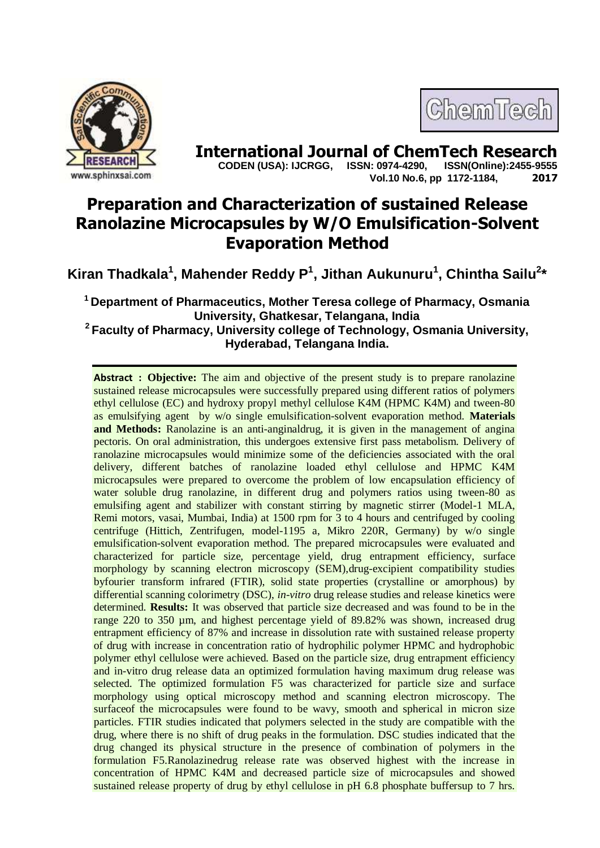



**International Journal of ChemTech Research copen (USA): IJCRGG.** ISSN: 0974-4290. ISSN(Online):2455-9555  **CODEN (USA): IJCRGG, ISSN: 0974-4290, Vol.10 No.6, pp 1172-1184, 2017**

# **Preparation and Characterization of sustained Release Ranolazine Microcapsules by W/O Emulsification-Solvent Evaporation Method**

**Kiran Thadkala<sup>1</sup> , Mahender Reddy P 1 , Jithan Aukunuru<sup>1</sup> , Chintha Sailu<sup>2</sup> \***

**<sup>1</sup>Department of Pharmaceutics, Mother Teresa college of Pharmacy, Osmania University, Ghatkesar, Telangana, India**

**<sup>2</sup>Faculty of Pharmacy, University college of Technology, Osmania University, Hyderabad, Telangana India.**

**Abstract** : Objective: The aim and objective of the present study is to prepare ranolazine sustained release microcapsules were successfully prepared using different ratios of polymers ethyl cellulose (EC) and hydroxy propyl methyl cellulose K4M (HPMC K4M) and tween-80 as emulsifying agent by w/o single emulsification-solvent evaporation method. **Materials**  and Methods: Ranolazine is an anti-anginaldrug, it is given in the management of angina pectoris. On oral administration, this undergoes extensive first pass metabolism. Delivery of ranolazine microcapsules would minimize some of the deficiencies associated with the oral delivery, different batches of ranolazine loaded ethyl cellulose and HPMC K4M microcapsules were prepared to overcome the problem of low encapsulation efficiency of water soluble drug ranolazine, in different drug and polymers ratios using tween-80 as emulsifing agent and stabilizer with constant stirring by magnetic stirrer (Model-1 MLA, Remi motors, vasai, Mumbai, India) at 1500 rpm for 3 to 4 hours and centrifuged by cooling centrifuge (Hittich, Zentrifugen, model-1195 a, Mikro 220R, Germany) by w/o single emulsification-solvent evaporation method. The prepared microcapsules were evaluated and characterized for particle size, percentage yield, drug entrapment efficiency, surface morphology by scanning electron microscopy (SEM),drug-excipient compatibility studies byfourier transform infrared (FTIR), solid state properties (crystalline or amorphous) by differential scanning colorimetry (DSC), *in-vitro* drug release studies and release kinetics were determined. **Results:** It was observed that particle size decreased and was found to be in the range 220 to 350 µm, and highest percentage yield of 89.82% was shown, increased drug entrapment efficiency of 87% and increase in dissolution rate with sustained release property of drug with increase in concentration ratio of hydrophilic polymer HPMC and hydrophobic polymer ethyl cellulose were achieved. Based on the particle size, drug entrapment efficiency and in-vitro drug release data an optimized formulation having maximum drug release was selected. The optimized formulation F5 was characterized for particle size and surface morphology using optical microscopy method and scanning electron microscopy. The surfaceof the microcapsules were found to be wavy, smooth and spherical in micron size particles. FTIR studies indicated that polymers selected in the study are compatible with the drug, where there is no shift of drug peaks in the formulation. DSC studies indicated that the drug changed its physical structure in the presence of combination of polymers in the formulation F5.Ranolazinedrug release rate was observed highest with the increase in concentration of HPMC K4M and decreased particle size of microcapsules and showed sustained release property of drug by ethyl cellulose in pH 6.8 phosphate buffersup to 7 hrs.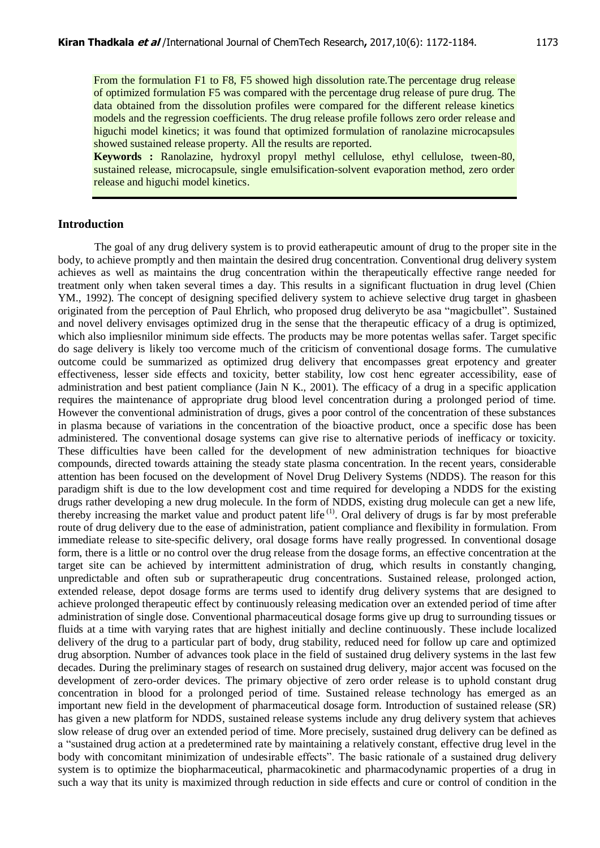**Keywords :** Ranolazine, hydroxyl propyl methyl cellulose, ethyl cellulose, tween-80, sustained release, microcapsule, single emulsification-solvent evaporation method, zero order release and higuchi model kinetics.

# **Introduction**

The goal of any drug delivery system is to provid eatherapeutic amount of drug to the proper site in the body, to achieve promptly and then maintain the desired drug concentration. Conventional drug delivery system achieves as well as maintains the drug concentration within the therapeutically effective range needed for treatment only when taken several times a day. This results in a significant fluctuation in drug level (Chien YM., 1992). The concept of designing specified delivery system to achieve selective drug target in ghasbeen originated from the perception of Paul Ehrlich, who proposed drug deliveryto be asa "magicbullet". Sustained and novel delivery envisages optimized drug in the sense that the therapeutic efficacy of a drug is optimized, which also impliesnilor minimum side effects. The products may be more potentas wellas safer. Target specific do sage delivery is likely too vercome much of the criticism of conventional dosage forms. The cumulative outcome could be summarized as optimized drug delivery that encompasses great erpotency and greater effectiveness, lesser side effects and toxicity, better stability, low cost henc egreater accessibility, ease of administration and best patient compliance (Jain N K., 2001). The efficacy of a drug in a specific application requires the maintenance of appropriate drug blood level concentration during a prolonged period of time. However the conventional administration of drugs, gives a poor control of the concentration of these substances in plasma because of variations in the concentration of the bioactive product, once a specific dose has been administered. The conventional dosage systems can give rise to alternative periods of inefficacy or toxicity. These difficulties have been called for the development of new administration techniques for bioactive compounds, directed towards attaining the steady state plasma concentration. In the recent years, considerable attention has been focused on the development of Novel Drug Delivery Systems (NDDS). The reason for this paradigm shift is due to the low development cost and time required for developing a NDDS for the existing drugs rather developing a new drug molecule. In the form of NDDS, existing drug molecule can get a new life, thereby increasing the market value and product patent life (1). Oral delivery of drugs is far by most preferable route of drug delivery due to the ease of administration, patient compliance and flexibility in formulation. From immediate release to site-specific delivery, oral dosage forms have really progressed. In conventional dosage form, there is a little or no control over the drug release from the dosage forms, an effective concentration at the target site can be achieved by intermittent administration of drug, which results in constantly changing, unpredictable and often sub or supratherapeutic drug concentrations. Sustained release, prolonged action, extended release, depot dosage forms are terms used to identify drug delivery systems that are designed to achieve prolonged therapeutic effect by continuously releasing medication over an extended period of time after administration of single dose. Conventional pharmaceutical dosage forms give up drug to surrounding tissues or fluids at a time with varying rates that are highest initially and decline continuously. These include localized delivery of the drug to a particular part of body, drug stability, reduced need for follow up care and optimized drug absorption. Number of advances took place in the field of sustained drug delivery systems in the last few decades. During the preliminary stages of research on sustained drug delivery, major accent was focused on the development of zero-order devices. The primary objective of zero order release is to uphold constant drug concentration in blood for a prolonged period of time. Sustained release technology has emerged as an important new field in the development of pharmaceutical dosage form. Introduction of sustained release (SR) has given a new platform for NDDS, sustained release systems include any drug delivery system that achieves slow release of drug over an extended period of time. More precisely, sustained drug delivery can be defined as a "sustained drug action at a predetermined rate by maintaining a relatively constant, effective drug level in the body with concomitant minimization of undesirable effects". The basic rationale of a sustained drug delivery system is to optimize the biopharmaceutical, pharmacokinetic and pharmacodynamic properties of a drug in such a way that its unity is maximized through reduction in side effects and cure or control of condition in the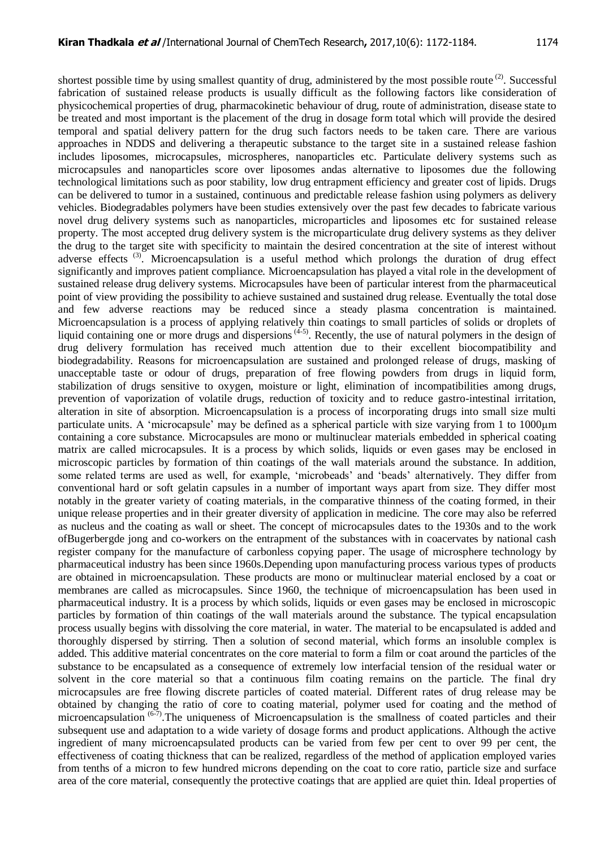shortest possible time by using smallest quantity of drug, administered by the most possible route  $(2)$ . Successful fabrication of sustained release products is usually difficult as the following factors like consideration of physicochemical properties of drug, pharmacokinetic behaviour of drug, route of administration, disease state to be treated and most important is the placement of the drug in dosage form total which will provide the desired temporal and spatial delivery pattern for the drug such factors needs to be taken care. There are various approaches in NDDS and delivering a therapeutic substance to the target site in a sustained release fashion includes liposomes, microcapsules, microspheres, nanoparticles etc. Particulate delivery systems such as microcapsules and nanoparticles score over liposomes andas alternative to liposomes due the following technological limitations such as poor stability, low drug entrapment efficiency and greater cost of lipids. Drugs can be delivered to tumor in a sustained, continuous and predictable release fashion using polymers as delivery vehicles. Biodegradables polymers have been studies extensively over the past few decades to fabricate various novel drug delivery systems such as nanoparticles, microparticles and liposomes etc for sustained release property. The most accepted drug delivery system is the microparticulate drug delivery systems as they deliver the drug to the target site with specificity to maintain the desired concentration at the site of interest without adverse effects<sup>(3)</sup>. Microencapsulation is a useful method which prolongs the duration of drug effect significantly and improves patient compliance. Microencapsulation has played a vital role in the development of sustained release drug delivery systems. Microcapsules have been of particular interest from the pharmaceutical point of view providing the possibility to achieve sustained and sustained drug release. Eventually the total dose and few adverse reactions may be reduced since a steady plasma concentration is maintained. Microencapsulation is a process of applying relatively thin coatings to small particles of solids or droplets of liquid containing one or more drugs and dispersions<sup> $(4-5)$ </sup>. Recently, the use of natural polymers in the design of drug delivery formulation has received much attention due to their excellent biocompatibility and biodegradability. Reasons for microencapsulation are sustained and prolonged release of drugs, masking of unacceptable taste or odour of drugs, preparation of free flowing powders from drugs in liquid form, stabilization of drugs sensitive to oxygen, moisture or light, elimination of incompatibilities among drugs, prevention of vaporization of volatile drugs, reduction of toxicity and to reduce gastro-intestinal irritation, alteration in site of absorption. Microencapsulation is a process of incorporating drugs into small size multi particulate units. A "microcapsule" may be defined as a spherical particle with size varying from 1 to 1000μm containing a core substance. Microcapsules are mono or multinuclear materials embedded in spherical coating matrix are called microcapsules. It is a process by which solids, liquids or even gases may be enclosed in microscopic particles by formation of thin coatings of the wall materials around the substance. In addition, some related terms are used as well, for example, 'microbeads' and 'beads' alternatively. They differ from conventional hard or soft gelatin capsules in a number of important ways apart from size. They differ most notably in the greater variety of coating materials, in the comparative thinness of the coating formed, in their unique release properties and in their greater diversity of application in medicine. The core may also be referred as nucleus and the coating as wall or sheet. The concept of microcapsules dates to the 1930s and to the work ofBugerbergde jong and co-workers on the entrapment of the substances with in coacervates by national cash register company for the manufacture of carbonless copying paper. The usage of microsphere technology by pharmaceutical industry has been since 1960s.Depending upon manufacturing process various types of products are obtained in microencapsulation. These products are mono or multinuclear material enclosed by a coat or membranes are called as microcapsules. Since 1960, the technique of microencapsulation has been used in pharmaceutical industry. It is a process by which solids, liquids or even gases may be enclosed in microscopic particles by formation of thin coatings of the wall materials around the substance. The typical encapsulation process usually begins with dissolving the core material, in water. The material to be encapsulated is added and thoroughly dispersed by stirring. Then a solution of second material, which forms an insoluble complex is added. This additive material concentrates on the core material to form a film or coat around the particles of the substance to be encapsulated as a consequence of extremely low interfacial tension of the residual water or solvent in the core material so that a continuous film coating remains on the particle. The final dry microcapsules are free flowing discrete particles of coated material. Different rates of drug release may be obtained by changing the ratio of core to coating material, polymer used for coating and the method of microencapsulation  $(6-7)$ . The uniqueness of Microencapsulation is the smallness of coated particles and their subsequent use and adaptation to a wide variety of dosage forms and product applications. Although the active ingredient of many microencapsulated products can be varied from few per cent to over 99 per cent, the effectiveness of coating thickness that can be realized, regardless of the method of application employed varies from tenths of a micron to few hundred microns depending on the coat to core ratio, particle size and surface area of the core material, consequently the protective coatings that are applied are quiet thin. Ideal properties of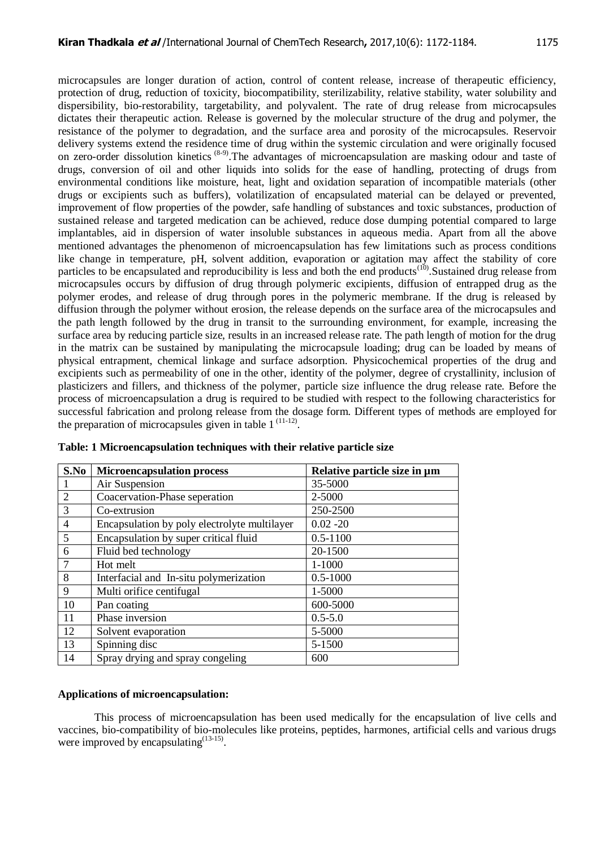microcapsules are longer duration of action, control of content release, increase of therapeutic efficiency, protection of drug, reduction of toxicity, biocompatibility, sterilizability, relative stability, water solubility and dispersibility, bio-restorability, targetability, and polyvalent. The rate of drug release from microcapsules dictates their therapeutic action. Release is governed by the molecular structure of the drug and polymer, the resistance of the polymer to degradation, and the surface area and porosity of the microcapsules. Reservoir delivery systems extend the residence time of drug within the systemic circulation and were originally focused on zero-order dissolution kinetics<sup>(8-9)</sup>. The advantages of microencapsulation are masking odour and taste of drugs, conversion of oil and other liquids into solids for the ease of handling, protecting of drugs from environmental conditions like moisture, heat, light and oxidation separation of incompatible materials (other drugs or excipients such as buffers), volatilization of encapsulated material can be delayed or prevented, improvement of flow properties of the powder, safe handling of substances and toxic substances, production of sustained release and targeted medication can be achieved, reduce dose dumping potential compared to large implantables, aid in dispersion of water insoluble substances in aqueous media. Apart from all the above mentioned advantages the phenomenon of microencapsulation has few limitations such as process conditions like change in temperature, pH, solvent addition, evaporation or agitation may affect the stability of core particles to be encapsulated and reproducibility is less and both the end products<sup>(10)</sup>. Sustained drug release from microcapsules occurs by diffusion of drug through polymeric excipients, diffusion of entrapped drug as the polymer erodes, and release of drug through pores in the polymeric membrane. If the drug is released by diffusion through the polymer without erosion, the release depends on the surface area of the microcapsules and the path length followed by the drug in transit to the surrounding environment, for example, increasing the surface area by reducing particle size, results in an increased release rate. The path length of motion for the drug in the matrix can be sustained by manipulating the microcapsule loading; drug can be loaded by means of physical entrapment, chemical linkage and surface adsorption. Physicochemical properties of the drug and excipients such as permeability of one in the other, identity of the polymer, degree of crystallinity, inclusion of plasticizers and fillers, and thickness of the polymer, particle size influence the drug release rate. Before the process of microencapsulation a drug is required to be studied with respect to the following characteristics for successful fabrication and prolong release from the dosage form. Different types of methods are employed for the preparation of microcapsules given in table  $1^{(11-12)}$ .

| S.No           | <b>Microencapsulation process</b>            | Relative particle size in µm |  |  |  |
|----------------|----------------------------------------------|------------------------------|--|--|--|
|                | Air Suspension                               | 35-5000                      |  |  |  |
| $\overline{2}$ | Coacervation-Phase seperation                | 2-5000                       |  |  |  |
| 3              | Co-extrusion                                 | 250-2500                     |  |  |  |
| $\overline{4}$ | Encapsulation by poly electrolyte multilayer | $0.02 - 20$                  |  |  |  |
| 5              | Encapsulation by super critical fluid        | $0.5 - 1100$                 |  |  |  |
| 6              | Fluid bed technology                         | 20-1500                      |  |  |  |
| 7              | Hot melt                                     | $1 - 1000$                   |  |  |  |
| 8              | Interfacial and In-situ polymerization       | $0.5 - 1000$                 |  |  |  |
| 9              | Multi orifice centifugal                     | 1-5000                       |  |  |  |
| 10             | Pan coating                                  | 600-5000                     |  |  |  |
| 11             | Phase inversion                              | $0.5 - 5.0$                  |  |  |  |
| 12             | Solvent evaporation                          | 5-5000                       |  |  |  |
| 13             | Spinning disc                                | 5-1500                       |  |  |  |
| 14             | Spray drying and spray congeling             | 600                          |  |  |  |

**Table: 1 Microencapsulation techniques with their relative particle size**

# **Applications of microencapsulation:**

This process of microencapsulation has been used medically for the encapsulation of live cells and vaccines, bio-compatibility of bio-molecules like proteins, peptides, harmones, artificial cells and various drugs were improved by encapsulating $(13-15)$ .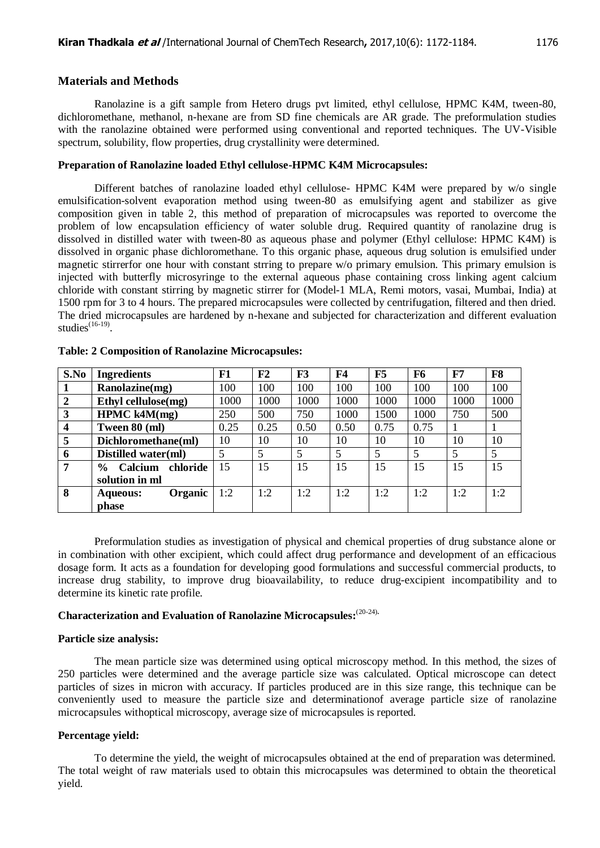#### **Materials and Methods**

Ranolazine is a gift sample from Hetero drugs pvt limited, ethyl cellulose, HPMC K4M, tween-80, dichloromethane, methanol, n-hexane are from SD fine chemicals are AR grade. The preformulation studies with the ranolazine obtained were performed using conventional and reported techniques. The UV-Visible spectrum, solubility, flow properties, drug crystallinity were determined.

## **Preparation of Ranolazine loaded Ethyl cellulose-HPMC K4M Microcapsules:**

Different batches of ranolazine loaded ethyl cellulose- HPMC K4M were prepared by w/o single emulsification-solvent evaporation method using tween-80 as emulsifying agent and stabilizer as give composition given in table 2, this method of preparation of microcapsules was reported to overcome the problem of low encapsulation efficiency of water soluble drug. Required quantity of ranolazine drug is dissolved in distilled water with tween-80 as aqueous phase and polymer (Ethyl cellulose: HPMC K4M) is dissolved in organic phase dichloromethane. To this organic phase, aqueous drug solution is emulsified under magnetic stirrerfor one hour with constant strring to prepare w/o primary emulsion. This primary emulsion is injected with butterfly microsyringe to the external aqueous phase containing cross linking agent calcium chloride with constant stirring by magnetic stirrer for (Model-1 MLA, Remi motors, vasai, Mumbai, India) at 1500 rpm for 3 to 4 hours. The prepared microcapsules were collected by centrifugation, filtered and then dried. The dried microcapsules are hardened by n-hexane and subjected for characterization and different evaluation studies $^{(16-19)}$ .

| S.No             | <b>Ingredients</b>                    | F1   | F2   | F <sub>3</sub> | F4   | F5   | F <sub>6</sub> | F7   | F8   |
|------------------|---------------------------------------|------|------|----------------|------|------|----------------|------|------|
|                  | Ranolazine(mg)                        | 100  | 100  | 100            | 100  | 100  | 100            | 100  | 100  |
| $\overline{2}$   | Ethyl cellulose(mg)                   | 1000 | 1000 | 1000           | 1000 | 1000 | 1000           | 1000 | 1000 |
| 3                | HPMC k4M(mg)                          | 250  | 500  | 750            | 1000 | 1500 | 1000           | 750  | 500  |
| $\boldsymbol{4}$ | Tween 80 (ml)                         | 0.25 | 0.25 | 0.50           | 0.50 | 0.75 | 0.75           |      |      |
| 5                | Dichloromethane(ml)                   | 10   | 10   | 10             | 10   | 10   | 10             | 10   | 10   |
| 6                | Distilled water(ml)                   | 5    |      | 5              | 5    | 5    | 5              | 5    | 5    |
|                  | chloride<br>Calcium<br>$\frac{6}{10}$ | 15   | 15   | 15             | 15   | 15   | 15             | 15   | 15   |
|                  | solution in ml                        |      |      |                |      |      |                |      |      |
| 8                | Organic<br><b>Aqueous:</b>            | 1:2  | 1:2  | 1:2            | 1:2  | 1:2  | 1:2            | 1:2  | 1:2  |
|                  | phase                                 |      |      |                |      |      |                |      |      |

## **Table: 2 Composition of Ranolazine Microcapsules:**

Preformulation studies as investigation of physical and chemical properties of drug substance alone or in combination with other excipient, which could affect drug performance and development of an efficacious dosage form. It acts as a foundation for developing good formulations and successful commercial products, to increase drug stability, to improve drug bioavailability, to reduce drug-excipient incompatibility and to determine its kinetic rate profile.

# **Characterization and Evaluation of Ranolazine Microcapsules:** (20-24)**.**

#### **Particle size analysis:**

The mean particle size was determined using optical microscopy method. In this method, the sizes of 250 particles were determined and the average particle size was calculated. Optical microscope can detect particles of sizes in micron with accuracy. If particles produced are in this size range, this technique can be conveniently used to measure the particle size and determinationof average particle size of ranolazine microcapsules withoptical microscopy, average size of microcapsules is reported.

## **Percentage yield:**

To determine the yield, the weight of microcapsules obtained at the end of preparation was determined. The total weight of raw materials used to obtain this microcapsules was determined to obtain the theoretical yield.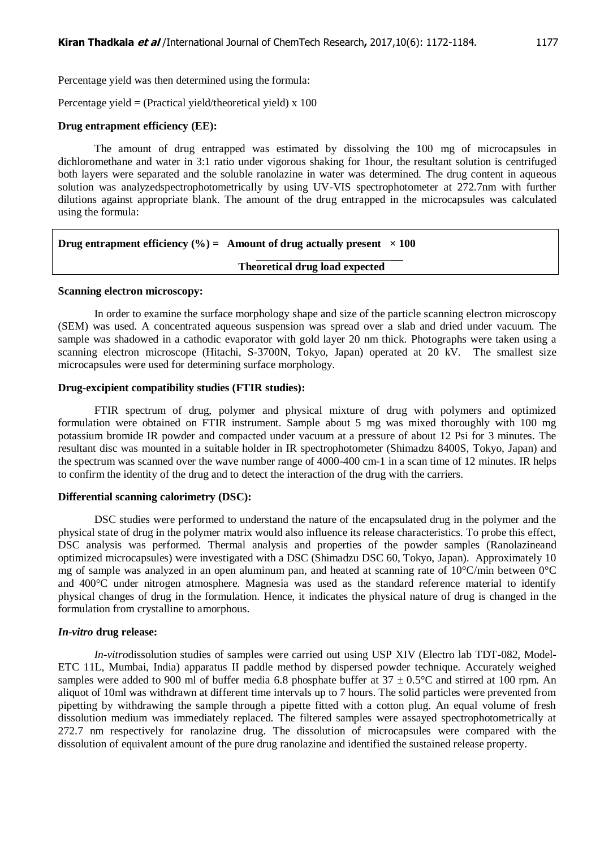Percentage yield was then determined using the formula:

Percentage yield = (Practical yield/theoretical yield)  $x$  100

## **Drug entrapment efficiency (EE):**

The amount of drug entrapped was estimated by dissolving the 100 mg of microcapsules in dichloromethane and water in 3:1 ratio under vigorous shaking for 1hour, the resultant solution is centrifuged both layers were separated and the soluble ranolazine in water was determined. The drug content in aqueous solution was analyzedspectrophotometrically by using UV-VIS spectrophotometer at 272.7nm with further dilutions against appropriate blank. The amount of the drug entrapped in the microcapsules was calculated using the formula:

| Drug entrapment efficiency (%) = Amount of drug actually present $\times 100$ |  |
|-------------------------------------------------------------------------------|--|
|                                                                               |  |

#### **Theoretical drug load expected**

#### **Scanning electron microscopy:**

In order to examine the surface morphology shape and size of the particle scanning electron microscopy (SEM) was used. A concentrated aqueous suspension was spread over a slab and dried under vacuum. The sample was shadowed in a cathodic evaporator with gold layer 20 nm thick. Photographs were taken using a scanning electron microscope (Hitachi, S-3700N, Tokyo, Japan) operated at 20 kV. The smallest size microcapsules were used for determining surface morphology.

#### **Drug-excipient compatibility studies (FTIR studies):**

FTIR spectrum of drug, polymer and physical mixture of drug with polymers and optimized formulation were obtained on FTIR instrument. Sample about 5 mg was mixed thoroughly with 100 mg potassium bromide IR powder and compacted under vacuum at a pressure of about 12 Psi for 3 minutes. The resultant disc was mounted in a suitable holder in IR spectrophotometer (Shimadzu 8400S, Tokyo, Japan) and the spectrum was scanned over the wave number range of 4000-400 cm-1 in a scan time of 12 minutes. IR helps to confirm the identity of the drug and to detect the interaction of the drug with the carriers.

#### **Differential scanning calorimetry (DSC):**

DSC studies were performed to understand the nature of the encapsulated drug in the polymer and the physical state of drug in the polymer matrix would also influence its release characteristics. To probe this effect, DSC analysis was performed. Thermal analysis and properties of the powder samples (Ranolazineand optimized microcapsules) were investigated with a DSC (Shimadzu DSC 60, Tokyo, Japan). Approximately 10 mg of sample was analyzed in an open aluminum pan, and heated at scanning rate of  $10^{\circ}$ C/min between  $0^{\circ}$ C and 400°C under nitrogen atmosphere. Magnesia was used as the standard reference material to identify physical changes of drug in the formulation. Hence, it indicates the physical nature of drug is changed in the formulation from crystalline to amorphous.

#### *In-vitro* **drug release:**

*In-vitro*dissolution studies of samples were carried out using USP XIV (Electro lab TDT-082, Model-ETC 11L, Mumbai, India) apparatus II paddle method by dispersed powder technique. Accurately weighed samples were added to 900 ml of buffer media 6.8 phosphate buffer at  $37 \pm 0.5^{\circ}$ C and stirred at 100 rpm. An aliquot of 10ml was withdrawn at different time intervals up to 7 hours. The solid particles were prevented from pipetting by withdrawing the sample through a pipette fitted with a cotton plug. An equal volume of fresh dissolution medium was immediately replaced. The filtered samples were assayed spectrophotometrically at 272.7 nm respectively for ranolazine drug. The dissolution of microcapsules were compared with the dissolution of equivalent amount of the pure drug ranolazine and identified the sustained release property.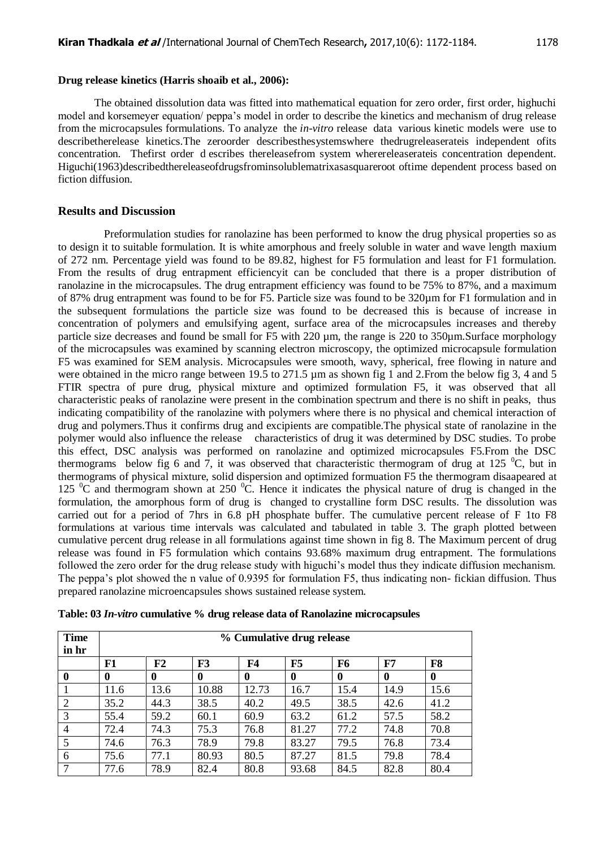#### **Drug release kinetics (Harris shoaib et al., 2006):**

The obtained dissolution data was fitted into mathematical equation for zero order, first order, highuchi model and korsemeyer equation/ peppa"s model in order to describe the kinetics and mechanism of drug release from the microcapsules formulations. To analyze the *in-vitro* release data various kinetic models were use to describetherelease kinetics.The zeroorder describesthesystemswhere thedrugreleaserateis independent ofits concentration. Thefirst order d escribes thereleasefrom system wherereleaserateis concentration dependent. Higuchi(1963)describedthereleaseofdrugsfrominsolublematrixasasquareroot oftime dependent process based on fiction diffusion.

## **Results and Discussion**

Preformulation studies for ranolazine has been performed to know the drug physical properties so as to design it to suitable formulation. It is white amorphous and freely soluble in water and wave length maxium of 272 nm. Percentage yield was found to be 89.82, highest for F5 formulation and least for F1 formulation. From the results of drug entrapment efficiencyit can be concluded that there is a proper distribution of ranolazine in the microcapsules. The drug entrapment efficiency was found to be 75% to 87%, and a maximum of 87% drug entrapment was found to be for F5. Particle size was found to be 320µm for F1 formulation and in the subsequent formulations the particle size was found to be decreased this is because of increase in concentration of polymers and emulsifying agent, surface area of the microcapsules increases and thereby particle size decreases and found be small for F5 with 220 µm, the range is 220 to 350µm.Surface morphology of the microcapsules was examined by scanning electron microscopy, the optimized microcapsule formulation F5 was examined for SEM analysis. Microcapsules were smooth, wavy, spherical, free flowing in nature and were obtained in the micro range between 19.5 to 271.5 µm as shown fig 1 and 2. From the below fig 3, 4 and 5 FTIR spectra of pure drug, physical mixture and optimized formulation F5, it was observed that all characteristic peaks of ranolazine were present in the combination spectrum and there is no shift in peaks, thus indicating compatibility of the ranolazine with polymers where there is no physical and chemical interaction of drug and polymers.Thus it confirms drug and excipients are compatible.The physical state of ranolazine in the polymer would also influence the release characteristics of drug it was determined by DSC studies. To probe this effect, DSC analysis was performed on ranolazine and optimized microcapsules F5.From the DSC thermograms below fig 6 and 7, it was observed that characteristic thermogram of drug at 125  $^{\circ}$ C, but in thermograms of physical mixture, solid dispersion and optimized formuation F5 the thermogram disaapeared at 125  $\rm{^0C}$  and thermogram shown at 250  $\rm{^0C}$ . Hence it indicates the physical nature of drug is changed in the formulation, the amorphous form of drug is changed to crystalline form DSC results. The dissolution was carried out for a period of 7hrs in 6.8 pH phosphate buffer. The cumulative percent release of F 1to F8 formulations at various time intervals was calculated and tabulated in table 3. The graph plotted between cumulative percent drug release in all formulations against time shown in fig 8. The Maximum percent of drug release was found in F5 formulation which contains 93.68% maximum drug entrapment. The formulations followed the zero order for the drug release study with higuchi"s model thus they indicate diffusion mechanism. The peppa"s plot showed the n value of 0.9395 for formulation F5, thus indicating non- fickian diffusion. Thus prepared ranolazine microencapsules shows sustained release system.

| <b>Time</b><br>in hr | % Cumulative drug release |      |          |       |             |          |             |                |
|----------------------|---------------------------|------|----------|-------|-------------|----------|-------------|----------------|
|                      | F1                        | F2   | F3       | F4    | F5          | F6       | F7          | F <sub>8</sub> |
| 0                    | 0                         | 0    | $\bf{0}$ | 0     | $\mathbf 0$ | $\bf{0}$ | $\mathbf 0$ | $\mathbf 0$    |
|                      | 11.6                      | 13.6 | 10.88    | 12.73 | 16.7        | 15.4     | 14.9        | 15.6           |
| 2                    | 35.2                      | 44.3 | 38.5     | 40.2  | 49.5        | 38.5     | 42.6        | 41.2           |
| 3                    | 55.4                      | 59.2 | 60.1     | 60.9  | 63.2        | 61.2     | 57.5        | 58.2           |
| 4                    | 72.4                      | 74.3 | 75.3     | 76.8  | 81.27       | 77.2     | 74.8        | 70.8           |
| 5                    | 74.6                      | 76.3 | 78.9     | 79.8  | 83.27       | 79.5     | 76.8        | 73.4           |
| 6                    | 75.6                      | 77.1 | 80.93    | 80.5  | 87.27       | 81.5     | 79.8        | 78.4           |
|                      | 77.6                      | 78.9 | 82.4     | 80.8  | 93.68       | 84.5     | 82.8        | 80.4           |

**Table: 03** *In-vitro* **cumulative % drug release data of Ranolazine microcapsules**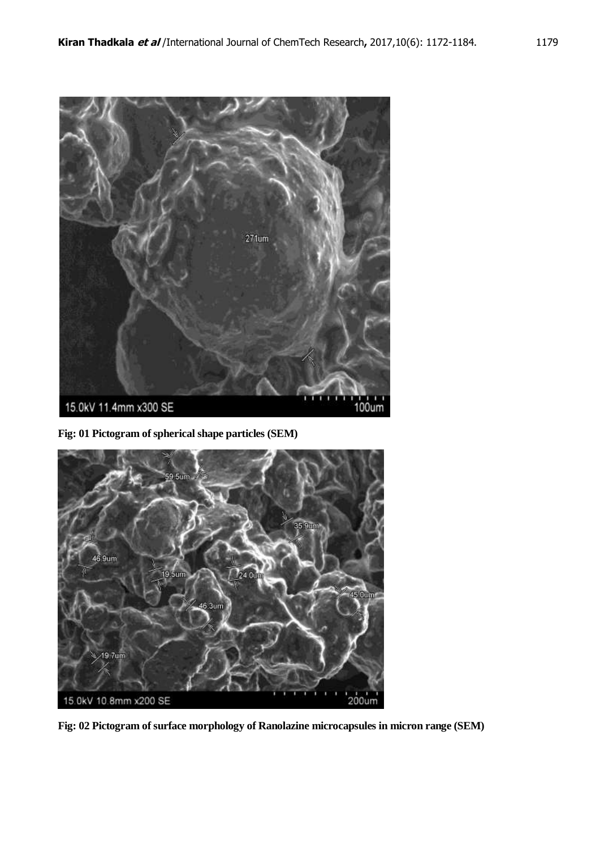

**Fig: 01 Pictogram of spherical shape particles (SEM)**



**Fig: 02 Pictogram of surface morphology of Ranolazine microcapsules in micron range (SEM)**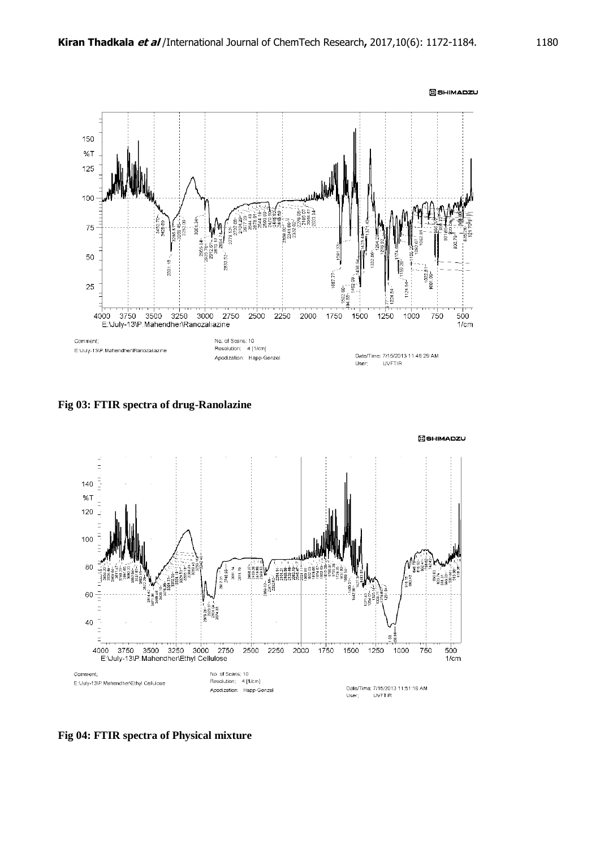

**Fig 03: FTIR spectra of drug-Ranolazine**



**Fig 04: FTIR spectra of Physical mixture**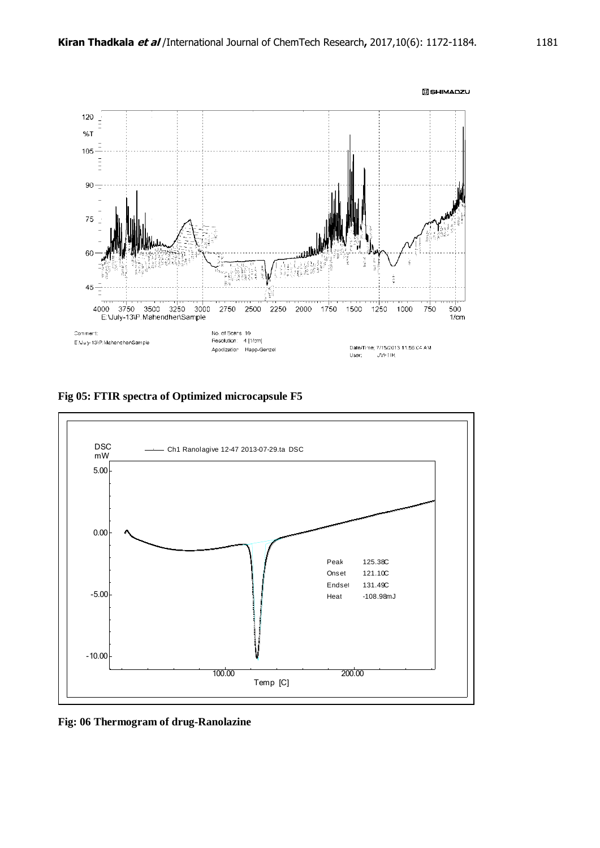

**Fig 05: FTIR spectra of Optimized microcapsule F5**



**Fig: 06 Thermogram of drug-Ranolazine**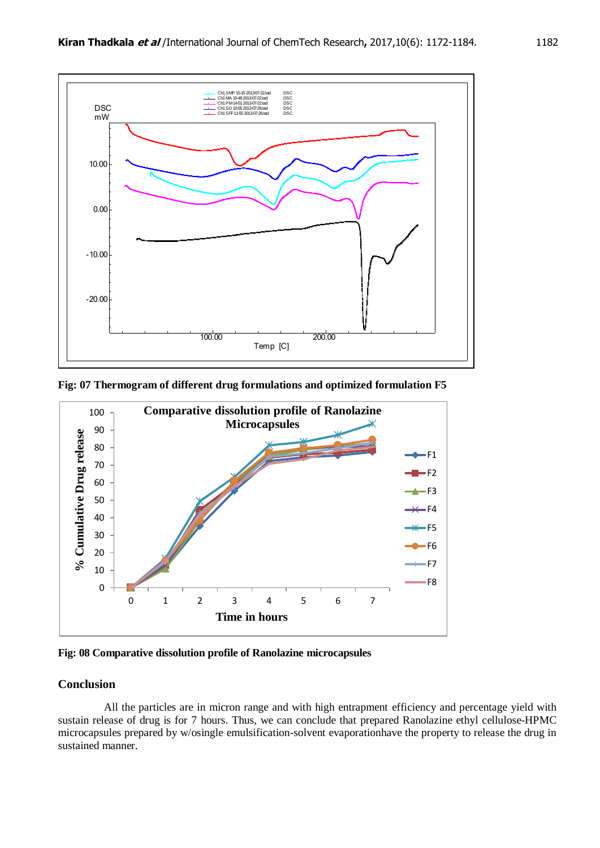

**Fig: 07 Thermogram of different drug formulations and optimized formulation F5**



**Fig: 08 Comparative dissolution profile of Ranolazine microcapsules**

# **Conclusion**

All the particles are in micron range and with high entrapment efficiency and percentage yield with sustain release of drug is for 7 hours. Thus, we can conclude that prepared Ranolazine ethyl cellulose-HPMC microcapsules prepared by w/osingle emulsification-solvent evaporationhave the property to release the drug in sustained manner.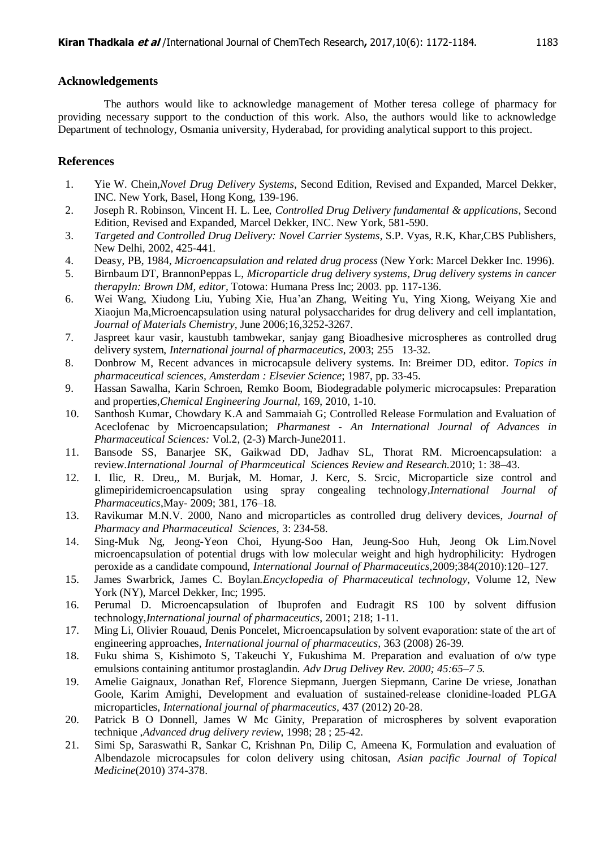#### **Acknowledgements**

The authors would like to acknowledge management of Mother teresa college of pharmacy for providing necessary support to the conduction of this work. Also, the authors would like to acknowledge Department of technology, Osmania university, Hyderabad, for providing analytical support to this project.

## **References**

- 1. Yie W. Chein,*Novel Drug Delivery Systems*, Second Edition, Revised and Expanded, Marcel Dekker, INC. New York, Basel, Hong Kong, 139-196.
- 2. Joseph R. Robinson, Vincent H. L. Lee, *Controlled Drug Delivery fundamental & applications*, Second Edition, Revised and Expanded, Marcel Dekker, INC. New York, 581-590.
- 3. *Targeted and Controlled Drug Delivery: Novel Carrier Systems*, S.P. Vyas, R.K, Khar,CBS Publishers, New Delhi, 2002, 425-441.
- 4. Deasy, PB, 1984, *Microencapsulation and related drug process* (New York: Marcel Dekker Inc. 1996).
- 5. Birnbaum DT, BrannonPeppas L, *Microparticle drug delivery systems, Drug delivery systems in cancer therapyIn: Brown DM, editor,* Totowa: Humana Press Inc; 2003. pp. 117-136.
- 6. Wei Wang, Xiudong Liu, Yubing Xie, Hua"an Zhang, Weiting Yu, Ying Xiong, Weiyang Xie and Xiaojun Ma,Microencapsulation using natural polysaccharides for drug delivery and cell implantation*, Journal of Materials Chemistry*, June 2006;16,3252-3267.
- 7. Jaspreet kaur vasir, kaustubh tambwekar, sanjay gang Bioadhesive microspheres as controlled drug delivery system, *International journal of pharmaceutics*, 2003; 255 13-32.
- 8. Donbrow M, Recent advances in microcapsule delivery systems. In: Breimer DD, editor. *Topics in pharmaceutical sciences, Amsterdam : Elsevier Science*; 1987, pp. 33-45.
- 9. Hassan Sawalha, Karin Schroen, Remko Boom, Biodegradable polymeric microcapsules: Preparation and properties,*Chemical Engineering Journal,* 169, 2010, 1-10.
- 10. Santhosh Kumar, Chowdary K.A and Sammaiah G; Controlled Release Formulation and Evaluation of Aceclofenac by Microencapsulation; *Pharmanest - An International Journal of Advances in Pharmaceutical Sciences:* Vol.2, (2-3) March-June2011.
- 11. Bansode SS, Banarjee SK, Gaikwad DD, Jadhav SL, Thorat RM. Microencapsulation: a review.*International Journal of Pharmceutical Sciences Review and Research.*2010; 1: 38–43.
- 12. I. Ilic, R. Dreu,, M. Burjak, M. Homar, J. Kerc, S. Srcic, Microparticle size control and glimepiridemicroencapsulation using spray congealing technology*,International Journal of Pharmaceutics*,May- 2009; 381, 176–18.
- 13. Ravikumar M.N.V. 2000, Nano and microparticles as controlled drug delivery devices, *Journal of Pharmacy and Pharmaceutical Sciences*, 3: 234-58.
- 14. Sing-Muk Ng, Jeong-Yeon Choi, Hyung-Soo Han, Jeung-Soo Huh, Jeong Ok Lim.Novel microencapsulation of potential drugs with low molecular weight and high hydrophilicity: Hydrogen peroxide as a candidate compound, *International Journal of Pharmaceutics*,2009;384(2010):120–127.
- 15. James Swarbrick, James C. Boylan.*Encyclopedia of Pharmaceutical technology*, Volume 12, New York (NY), Marcel Dekker, Inc; 1995.
- 16. Perumal D. Microencapsulation of Ibuprofen and Eudragit RS 100 by solvent diffusion technology,*International journal of pharmaceutics*, 2001; 218; 1-11.
- 17. Ming Li, Olivier Rouaud, Denis Poncelet, Microencapsulation by solvent evaporation: state of the art of engineering approaches, *International journal of pharmaceutics,* 363 (2008) 26-39.
- 18. Fuku shima S, Kishimoto S, Takeuchi Y, Fukushima M. Preparation and evaluation of o/w type emulsions containing antitumor prostaglandin. *Adv Drug Delivey Rev. 2000; 45:65–7 5.*
- 19. Amelie Gaignaux, Jonathan Ref, Florence Siepmann, Juergen Siepmann, Carine De vriese, Jonathan Goole, Karim Amighi, Development and evaluation of sustained-release clonidine-loaded PLGA microparticles, *International journal of pharmaceutics,* 437 (2012) 20-28.
- 20. Patrick B O Donnell, James W Mc Ginity, Preparation of microspheres by solvent evaporation technique ,*Advanced drug delivery review*, 1998; 28 ; 25-42.
- 21. Simi Sp, Saraswathi R, Sankar C, Krishnan Pn, Dilip C, Ameena K, Formulation and evaluation of Albendazole microcapsules for colon delivery using chitosan, *Asian pacific Journal of Topical Medicine*(2010) 374-378.